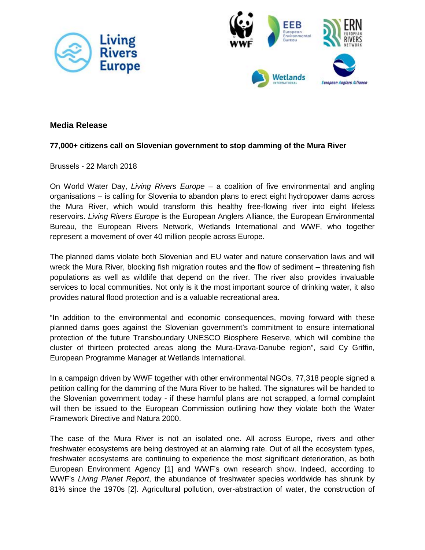



## **Media Release**

### **77,000+ citizens call on Slovenian government to stop damming of the Mura River**

#### Brussels - 22 March 2018

On World Water Day, *Living Rivers Europe* – a coalition of five environmental and angling organisations – is calling for Slovenia to abandon plans to erect eight hydropower dams across the Mura River, which would transform this healthy free-flowing river into eight lifeless reservoirs. *Living Rivers Europe* is the European Anglers Alliance, the European Environmental Bureau, the European Rivers Network, Wetlands International and WWF, who together represent a movement of over 40 million people across Europe.

The planned dams violate both Slovenian and EU water and nature conservation laws and will wreck the Mura River, blocking fish migration routes and the flow of sediment – threatening fish populations as well as wildlife that depend on the river. The river also provides invaluable services to local communities. Not only is it the most important source of drinking water, it also provides natural flood protection and is a valuable recreational area.

"In addition to the environmental and economic consequences, moving forward with these planned dams goes against the Slovenian government's commitment to ensure international protection of the future Transboundary UNESCO Biosphere Reserve, which will combine the cluster of thirteen protected areas along the Mura-Drava-Danube region", said Cy Griffin, European Programme Manager at Wetlands International.

In a campaign driven by WWF together with other environmental NGOs, 77,318 people signed a petition calling for the damming of the Mura River to be halted. The signatures will be handed to the Slovenian government today - if these harmful plans are not scrapped, a formal complaint will then be issued to the European Commission outlining how they violate both the Water Framework Directive and Natura 2000.

The case of the Mura River is not an isolated one. All across Europe, rivers and other freshwater ecosystems are being destroyed at an alarming rate. Out of all the ecosystem types, freshwater ecosystems are continuing to experience the most significant deterioration, as both European Environment Agency [1] and WWF's own research show. Indeed, according to WWF's *Living Planet Report*, the abundance of freshwater species worldwide has shrunk by 81% since the 1970s [2]. Agricultural pollution, over-abstraction of water, the construction of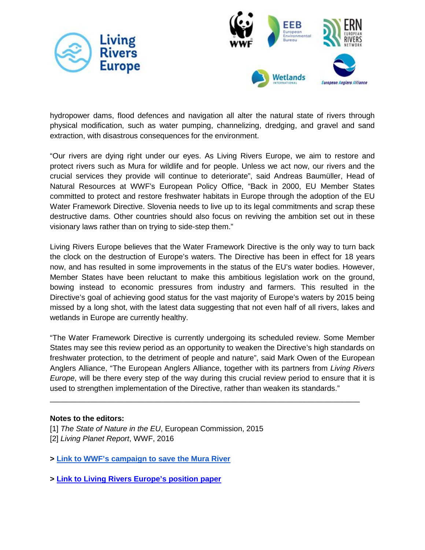



hydropower dams, flood defences and navigation all alter the natural state of rivers through physical modification, such as water pumping, channelizing, dredging, and gravel and sand extraction, with disastrous consequences for the environment.

"Our rivers are dying right under our eyes. As Living Rivers Europe, we aim to restore and protect rivers such as Mura for wildlife and for people. Unless we act now, our rivers and the crucial services they provide will continue to deteriorate", said Andreas Baumüller, Head of Natural Resources at WWF's European Policy Office, "Back in 2000, EU Member States committed to protect and restore freshwater habitats in Europe through the adoption of the EU Water Framework Directive. Slovenia needs to live up to its legal commitments and scrap these destructive dams. Other countries should also focus on reviving the ambition set out in these visionary laws rather than on trying to side-step them."

Living Rivers Europe believes that the Water Framework Directive is the only way to turn back the clock on the destruction of Europe's waters. The Directive has been in effect for 18 years now, and has resulted in some improvements in the status of the EU's water bodies. However, Member States have been reluctant to make this ambitious legislation work on the ground, bowing instead to economic pressures from industry and farmers. This resulted in the Directive's goal of achieving good status for the vast majority of Europe's waters by 2015 being missed by a long shot, with the latest data suggesting that not even half of all rivers, lakes and wetlands in Europe are currently healthy.

"The Water Framework Directive is currently undergoing its scheduled review. Some Member States may see this review period as an opportunity to weaken the Directive's high standards on freshwater protection, to the detriment of people and nature", said Mark Owen of the European Anglers Alliance, "The European Anglers Alliance, together with its partners from *Living Rivers Europe*, will be there every step of the way during this crucial review period to ensure that it is used to strengthen implementation of the Directive, rather than weaken its standards."

\_\_\_\_\_\_\_\_\_\_\_\_\_\_\_\_\_\_\_\_\_\_\_\_\_\_\_\_\_\_\_\_\_\_\_\_\_\_\_\_\_\_\_\_\_\_\_\_\_\_\_\_\_\_\_\_\_\_\_\_\_\_\_\_\_\_\_\_\_\_\_\_\_

### **Notes to the editors:**

[1] *The State of Nature in the EU*, European Commission, 2015 [2] *Living Planet Report*, WWF, 2016

- **> [Link to WWF's campaign to save the Mura River](https://www.worldwildlife.org/stories/dams-planned-along-the-mura-river-would-devastate-the-amazon-of-europe)**
- **[>](http://d2ouvy59p0dg6k.cloudfront.net/downloads/lre_vision_statement_final_1.pdf) [Link to Living Rivers Europe's position paper](http://d2ouvy59p0dg6k.cloudfront.net/downloads/lre_vision_statement_final_1.pdf)**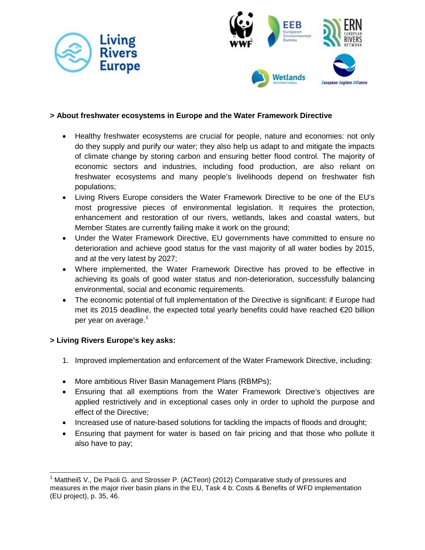



### **> About freshwater ecosystems in Europe and the Water Framework Directive**

- Healthy freshwater ecosystems are crucial for people, nature and economies: not only do they supply and purify our water; they also help us adapt to and mitigate the impacts of climate change by storing carbon and ensuring better flood control. The majority of economic sectors and industries, including food production, are also reliant on freshwater ecosystems and many people's livelihoods depend on freshwater fish populations;
- Living Rivers Europe considers the Water Framework Directive to be one of the EU's most progressive pieces of environmental legislation. It requires the protection, enhancement and restoration of our rivers, wetlands, lakes and coastal waters, but Member States are currently failing make it work on the ground;
- Under the Water Framework Directive, EU governments have committed to ensure no deterioration and achieve good status for the vast majority of all water bodies by 2015, and at the very latest by 2027;
- Where implemented, the Water Framework Directive has proved to be effective in achieving its goals of good water status and non-deterioration, successfully balancing environmental, social and economic requirements.
- The economic potential of full implementation of the Directive is significant: if Europe had met its 2015 deadline, the expected total yearly benefits could have reached €20 billion per year on average.<sup>[1](#page-2-0)</sup>

# **> Living Rivers Europe's key asks:**

- 1. Improved implementation and enforcement of the Water Framework Directive, including:
- More ambitious River Basin Management Plans (RBMPs);
- Ensuring that all exemptions from the Water Framework Directive's objectives are applied restrictively and in exceptional cases only in order to uphold the purpose and effect of the Directive;
- Increased use of nature-based solutions for tackling the impacts of floods and drought;
- Ensuring that payment for water is based on fair pricing and that those who pollute it also have to pay;

<span id="page-2-0"></span> $1$  Mattheiß V., De Paoli G. and Strosser P. (ACTeon) (2012) Comparative study of pressures and measures in the major river basin plans in the EU, Task 4 b: Costs & Benefits of WFD implementation (EU project), p. 35, 46.  $\overline{a}$